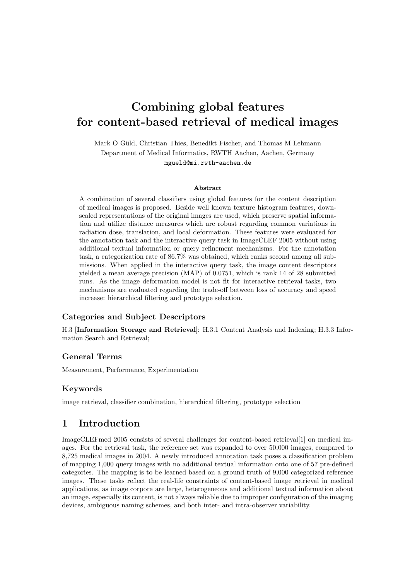# Combining global features for content-based retrieval of medical images

Mark O Güld, Christian Thies, Benedikt Fischer, and Thomas M Lehmann Department of Medical Informatics, RWTH Aachen, Aachen, Germany mgueld@mi.rwth-aachen.de

#### Abstract

A combination of several classifiers using global features for the content description of medical images is proposed. Beside well known texture histogram features, downscaled representations of the original images are used, which preserve spatial information and utilize distance measures which are robust regarding common variations in radiation dose, translation, and local deformation. These features were evaluated for the annotation task and the interactive query task in ImageCLEF 2005 without using additional textual information or query refinement mechanisms. For the annotation task, a categorization rate of 86.7% was obtained, which ranks second among all submissions. When applied in the interactive query task, the image content descriptors yielded a mean average precision (MAP) of 0.0751, which is rank 14 of 28 submitted runs. As the image deformation model is not fit for interactive retrieval tasks, two mechanisms are evaluated regarding the trade-off between loss of accuracy and speed increase: hierarchical filtering and prototype selection.

#### Categories and Subject Descriptors

H.3 [Information Storage and Retrieval]: H.3.1 Content Analysis and Indexing; H.3.3 Information Search and Retrieval;

### General Terms

Measurement, Performance, Experimentation

#### Keywords

image retrieval, classifier combination, hierarchical filtering, prototype selection

# 1 Introduction

ImageCLEFmed 2005 consists of several challenges for content-based retrieval[1] on medical images. For the retrieval task, the reference set was expanded to over 50,000 images, compared to 8,725 medical images in 2004. A newly introduced annotation task poses a classification problem of mapping 1,000 query images with no additional textual information onto one of 57 pre-defined categories. The mapping is to be learned based on a ground truth of 9,000 categorized reference images. These tasks reflect the real-life constraints of content-based image retrieval in medical applications, as image corpora are large, heterogeneous and additional textual information about an image, especially its content, is not always reliable due to improper configuration of the imaging devices, ambiguous naming schemes, and both inter- and intra-observer variability.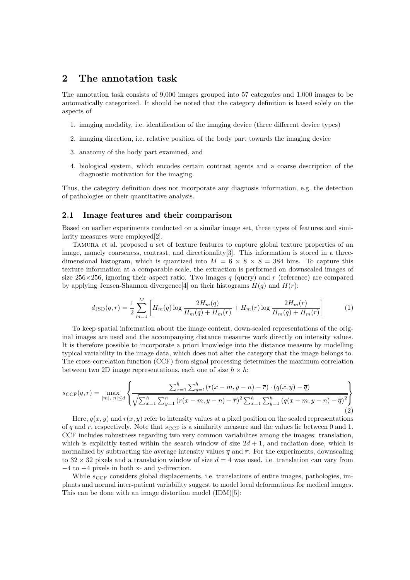# 2 The annotation task

The annotation task consists of 9,000 images grouped into 57 categories and 1,000 images to be automatically categorized. It should be noted that the category definition is based solely on the aspects of

- 1. imaging modality, i.e. identification of the imaging device (three different device types)
- 2. imaging direction, i.e. relative position of the body part towards the imaging device
- 3. anatomy of the body part examined, and
- 4. biological system, which encodes certain contrast agents and a coarse description of the diagnostic motivation for the imaging.

Thus, the category definition does not incorporate any diagnosis information, e.g. the detection of pathologies or their quantitative analysis.

#### 2.1 Image features and their comparison

Based on earlier experiments conducted on a similar image set, three types of features and similarity measures were employed[2].

Tamura et al. proposed a set of texture features to capture global texture properties of an image, namely coarseness, contrast, and directionality[3]. This information is stored in a threedimensional histogram, which is quantized into  $M = 6 \times 8 \times 8 = 384$  bins. To capture this texture information at a comparable scale, the extraction is performed on downscaled images of size  $256\times256$ , ignoring their aspect ratio. Two images q (query) and r (reference) are compared by applying Jensen-Shannon divergence<sup>[4]</sup> on their histograms  $H(q)$  and  $H(r)$ :

$$
d_{\text{JSD}}(q,r) = \frac{1}{2} \sum_{m=1}^{M} \left[ H_m(q) \log \frac{2H_m(q)}{H_m(q) + H_m(r)} + H_m(r) \log \frac{2H_m(r)}{H_m(q) + H_m(r)} \right] \tag{1}
$$

To keep spatial information about the image content, down-scaled representations of the original images are used and the accompanying distance measures work directly on intensity values. It is therefore possible to incorporate a priori knowledge into the distance measure by modelling typical variability in the image data, which does not alter the category that the image belongs to. The cross-correlation function (CCF) from signal processing determines the maximum correlation between two 2D image representations, each one of size  $h \times h$ :

$$
s_{\text{CCF}}(q,r) = \max_{|m|,|n| \le d} \left\{ \frac{\sum_{x=1}^{h} \sum_{y=1}^{h} (r(x-m, y-n) - \overline{r}) \cdot (q(x, y) - \overline{q})}{\sqrt{\sum_{x=1}^{h} \sum_{y=1}^{h} (r(x-m, y-n) - \overline{r})^{2} \sum_{x=1}^{h} \sum_{y=1}^{h} (q(x-m, y-n) - \overline{q})^{2}}} \right\}
$$
(2)

Here,  $q(x, y)$  and  $r(x, y)$  refer to intensity values at a pixel position on the scaled representations of q and r, respectively. Note that  $s_{CCF}$  is a similarity measure and the values lie between 0 and 1. CCF includes robustness regarding two very common variabilites among the images: translation, which is explicitly tested within the search window of size  $2d + 1$ , and radiation dose, which is normalized by subtracting the average intensity values  $\overline{q}$  and  $\overline{r}$ . For the experiments, downscaling to  $32 \times 32$  pixels and a translation window of size  $d = 4$  was used, i.e. translation can vary from −4 to +4 pixels in both x- and y-direction.

While  $s_{\text{CCF}}$  considers global displacements, i.e. translations of entire images, pathologies, implants and normal inter-patient variability suggest to model local deformations for medical images. This can be done with an image distortion model (IDM)[5]: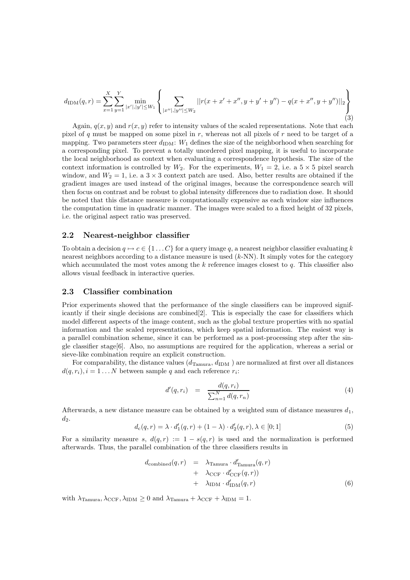$$
d_{\text{IDM}}(q,r) = \sum_{x=1}^{X} \sum_{y=1}^{Y} \min_{|x'|,|y'| \le W_1} \left\{ \sum_{|x''|,|y''| \le W_2} ||r(x+x'+x'',y+y'+y'') - q(x+x'',y+y'')||_2 \right\}
$$
(3)

Again,  $q(x, y)$  and  $r(x, y)$  refer to intensity values of the scaled representations. Note that each pixel of q must be mapped on some pixel in  $r$ , whereas not all pixels of  $r$  need to be target of a mapping. Two parameters steer  $d_{\text{IDM}}$ :  $W_1$  defines the size of the neighborhood when searching for a corresponding pixel. To prevent a totally unordered pixel mapping, it is useful to incorporate the local neighborhood as context when evaluating a correspondence hypothesis. The size of the context information is controlled by  $W_2$ . For the experiments,  $W_1 = 2$ , i.e. a  $5 \times 5$  pixel search window, and  $W_2 = 1$ , i.e. a  $3 \times 3$  context patch are used. Also, better results are obtained if the gradient images are used instead of the original images, because the correspondence search will then focus on contrast and be robust to global intensity differences due to radiation dose. It should be noted that this distance measure is computationally expensive as each window size influences the computation time in quadratic manner. The images were scaled to a fixed height of 32 pixels, i.e. the original aspect ratio was preserved.

#### 2.2 Nearest-neighbor classifier

To obtain a decision  $q \mapsto c \in \{1 \dots C\}$  for a query image q, a nearest neighbor classifier evaluating k nearest neighbors according to a distance measure is used  $(k-NN)$ . It simply votes for the category which accumulated the most votes among the  $k$  reference images closest to  $q$ . This classifier also allows visual feedback in interactive queries.

#### 2.3 Classifier combination

Prior experiments showed that the performance of the single classifiers can be improved significantly if their single decisions are combined $[2]$ . This is especially the case for classifiers which model different aspects of the image content, such as the global texture properties with no spatial information and the scaled representations, which keep spatial information. The easiest way is a parallel combination scheme, since it can be performed as a post-processing step after the single classifier stage[6]. Also, no assumptions are required for the application, whereas a serial or sieve-like combination require an explicit construction.

For comparability, the distance values  $(d_{\text{Tamura}}, d_{\text{IDM}})$  are normalized at first over all distances  $d(q, r_i), i = 1...N$  between sample q and each reference  $r_i$ :

$$
d'(q, r_i) = \frac{d(q, r_i)}{\sum_{n=1}^{N} d(q, r_n)}
$$
\n
$$
(4)
$$

Afterwards, a new distance measure can be obtained by a weighted sum of distance measures  $d_1$ ,  $d_2$ .

$$
d_{c}(q,r) = \lambda \cdot d'_{1}(q,r) + (1 - \lambda) \cdot d'_{2}(q,r), \lambda \in [0;1]
$$
\n(5)

For a similarity measure s,  $d(q, r) := 1 - s(q, r)$  is used and the normalization is performed afterwards. Thus, the parallel combination of the three classifiers results in

$$
d_{\text{combined}}(q, r) = \lambda_{\text{Tamura}} \cdot d'_{\text{Tamura}}(q, r) + \lambda_{\text{CCF}} \cdot d'_{\text{CCF}}(q, r) + \lambda_{\text{IDM}} \cdot d'_{\text{IDM}}(q, r)
$$
(6)

with  $\lambda_{\text{Tamura}}, \lambda_{\text{CCF}}, \lambda_{\text{IDM}} \geq 0$  and  $\lambda_{\text{Tamura}} + \lambda_{\text{CCF}} + \lambda_{\text{IDM}} = 1$ .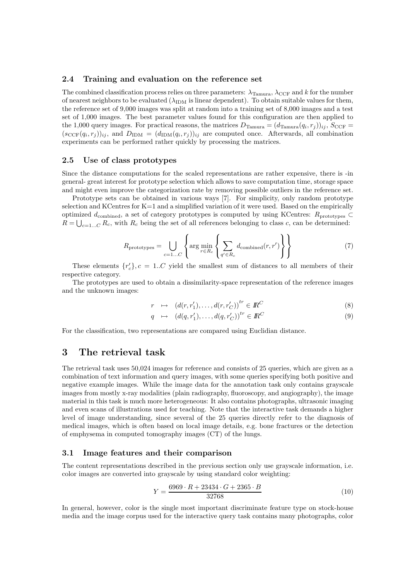### 2.4 Training and evaluation on the reference set

The combined classification process relies on three parameters:  $\lambda_{\text{Tamura}}$ ,  $\lambda_{\text{CCF}}$  and k for the number of nearest neighbors to be evaluated  $(\lambda_{IDM}$  is linear dependent). To obtain suitable values for them, the reference set of 9,000 images was split at random into a training set of 8,000 images and a test set of 1,000 images. The best parameter values found for this configuration are then applied to the 1,000 query images. For practical reasons, the matrices  $D_{\text{Tamura}} = (d_{\text{Tamura}}(q_i, r_j))_{ij}$ ,  $S_{\text{CCF}} =$  $(s_{\text{CCF}}(q_i, r_j))_{ij}$ , and  $D_{\text{IDM}} = (d_{\text{IDM}}(q_i, r_j))_{ij}$  are computed once. Afterwards, all combination experiments can be performed rather quickly by processing the matrices.

#### 2.5 Use of class prototypes

Since the distance computations for the scaled representations are rather expensive, there is -in general- great interest for prototype selection which allows to save computation time, storage space and might even improve the categorization rate by removing possible outliers in the reference set.

Prototype sets can be obtained in various ways [7]. For simplicity, only random prototype selection and KCentres for K=1 and a simplified variation of it were used. Based on the empirically optimized  $d_{\text{combined}}$ , a set of category prototypes is computed by using KCentres:  $R_{\text{prototvbes}} \subset$  $R = \bigcup_{c=1...C} R_c$ , with  $R_c$  being the set of all references belonging to class c, can be determined:

$$
R_{\text{prototypes}} = \bigcup_{c=1...C} \left\{ \arg \min_{r \in R_c} \left\{ \sum_{q' \in R_c} d_{\text{combined}}(r, r') \right\} \right\} \tag{7}
$$

These elements  $\{r_c\}, c = 1..C$  yield the smallest sum of distances to all members of their respective category.

The prototypes are used to obtain a dissimilarity-space representation of the reference images and the unknown images:

$$
r \mapsto (d(r, r'_1), \dots, d(r, r'_C))^{tr} \in I\!\!R^C
$$
\n(8)

$$
q \mapsto (d(q, r'_1), \dots, d(q, r'_C))^{tr} \in I\!\!R^C
$$
\n
$$
(9)
$$

For the classification, two representations are compared using Euclidian distance.

# 3 The retrieval task

The retrieval task uses 50,024 images for reference and consists of 25 queries, which are given as a combination of text information and query images, with some queries specifying both positive and negative example images. While the image data for the annotation task only contains grayscale images from mostly x-ray modalities (plain radiography, fluoroscopy, and angiography), the image material in this task is much more heterogeneous: It also contains photographs, ultrasonic imaging and even scans of illustrations used for teaching. Note that the interactive task demands a higher level of image understanding, since several of the 25 queries directly refer to the diagnosis of medical images, which is often based on local image details, e.g. bone fractures or the detection of emphysema in computed tomography images (CT) of the lungs.

#### 3.1 Image features and their comparison

The content representations described in the previous section only use grayscale information, i.e. color images are converted into grayscale by using standard color weighting:

$$
Y = \frac{6969 \cdot R + 23434 \cdot G + 2365 \cdot B}{32768} \tag{10}
$$

In general, however, color is the single most important discriminate feature type on stock-house media and the image corpus used for the interactive query task contains many photographs, color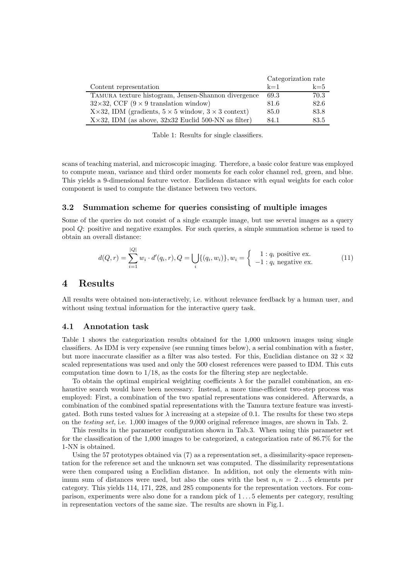|                                                                  | Categorization rate |       |
|------------------------------------------------------------------|---------------------|-------|
| Content representation                                           | $k=1$               | $k=5$ |
| TAMURA texture histogram, Jensen-Shannon divergence              | 69.3                | 70.3  |
| $32\times32$ , CCF (9 $\times$ 9 translation window)             | 81.6                | 82.6  |
| X×32, IDM (gradients, $5 \times 5$ window, $3 \times 3$ context) | 85.0                | 83.8  |
| $X \times 32$ , IDM (as above, $32x32$ Euclid 500-NN as filter)  | 84.1                | 83.5  |

Table 1: Results for single classifiers.

scans of teaching material, and microscopic imaging. Therefore, a basic color feature was employed to compute mean, variance and third order moments for each color channel red, green, and blue. This yields a 9-dimensional feature vector. Euclidean distance with equal weights for each color component is used to compute the distance between two vectors.

#### 3.2 Summation scheme for queries consisting of multiple images

Some of the queries do not consist of a single example image, but use several images as a query pool Q: positive and negative examples. For such queries, a simple summation scheme is used to obtain an overall distance:

$$
d(Q, r) = \sum_{i=1}^{|Q|} w_i \cdot d'(q_i, r), Q = \bigcup_i \{ (q_i, w_i) \}, w_i = \begin{cases} 1: q_i \text{ positive ex.} \\ -1: q_i \text{ negative ex.} \end{cases}
$$
(11)

## 4 Results

All results were obtained non-interactively, i.e. without relevance feedback by a human user, and without using textual information for the interactive query task.

#### 4.1 Annotation task

Table 1 shows the categorization results obtained for the 1,000 unknown images using single classifiers. As IDM is very expensive (see running times below), a serial combination with a faster, but more inaccurate classifier as a filter was also tested. For this, Euclidian distance on  $32 \times 32$ scaled representations was used and only the 500 closest references were passed to IDM. This cuts computation time down to  $1/18$ , as the costs for the filtering step are neglectable.

To obtain the optimal empirical weighting coefficients  $\lambda$  for the parallel combination, an exhaustive search would have been necessary. Instead, a more time-efficient two-step process was employed: First, a combination of the two spatial representations was considered. Afterwards, a combination of the combined spatial representations with the Tamura texture feature was investigated. Both runs tested values for  $\lambda$  increasing at a stepsize of 0.1. The results for these two steps on the testing set, i.e. 1,000 images of the 9,000 original reference images, are shown in Tab. 2.

This results in the parameter configuration shown in Tab.3. When using this parameter set for the classification of the 1,000 images to be categorized, a categorization rate of 86.7% for the 1-NN is obtained.

Using the 57 prototypes obtained via (7) as a representation set, a dissimilarity-space representation for the reference set and the unknown set was computed. The dissimilarity representations were then compared using a Euclidian distance. In addition, not only the elements with minimum sum of distances were used, but also the ones with the best  $n, n = 2...5$  elements per category. This yields 114, 171, 228, and 285 components for the representation vectors. For comparison, experiments were also done for a random pick of 1 . . . 5 elements per category, resulting in representation vectors of the same size. The results are shown in Fig.1.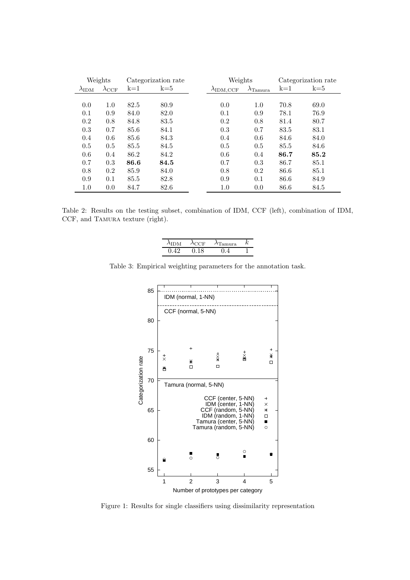|                      | Weights             |       | Categorization rate | Weights |                   |                           | Categorization rate |       |
|----------------------|---------------------|-------|---------------------|---------|-------------------|---------------------------|---------------------|-------|
| $\lambda_{\rm{IDM}}$ | $\lambda_{\rm CCF}$ | $k=1$ | $k=5$               |         | $\lambda$ IDM.CCF | $\lambda_{\text{Tamura}}$ | $k=1$               | $k=5$ |
|                      |                     |       |                     |         |                   |                           |                     |       |
| 0.0                  | 1.0                 | 82.5  | 80.9                |         | 0.0               | 1.0                       | 70.8                | 69.0  |
| 0.1                  | 0.9                 | 84.0  | 82.0                |         | 0.1               | 0.9                       | 78.1                | 76.9  |
| 0.2                  | 0.8                 | 84.8  | 83.5                |         | 0.2               | 0.8                       | 81.4                | 80.7  |
| 0.3                  | 0.7                 | 85.6  | 84.1                |         | 0.3               | 0.7                       | 83.5                | 83.1  |
| 0.4                  | 0.6                 | 85.6  | 84.3                |         | 0.4               | 0.6                       | 84.6                | 84.0  |
| 0.5                  | 0.5                 | 85.5  | 84.5                |         | 0.5               | 0.5                       | 85.5                | 84.6  |
| 0.6                  | 0.4                 | 86.2  | 84.2                |         | 0.6               | 0.4                       | 86.7                | 85.2  |
| 0.7                  | 0.3                 | 86.6  | 84.5                |         | 0.7               | 0.3                       | 86.7                | 85.1  |
| 0.8                  | 0.2                 | 85.9  | 84.0                |         | 0.8               | 0.2                       | 86.6                | 85.1  |
| 0.9                  | 0.1                 | 85.5  | 82.8                |         | 0.9               | 0.1                       | 86.6                | 84.9  |
| $1.0\,$              | 0.0                 | 84.7  | 82.6                |         | $1.0\,$           | 0.0                       | 86.6                | 84.5  |

Table 2: Results on the testing subset, combination of IDM, CCF (left), combination of IDM, CCF, and TAMURA texture (right).

| $\lambda$ idm | ACCE | $\lambda$ Tamura | κ |
|---------------|------|------------------|---|
| 0.42          | በ 18 | 04               |   |

Table 3: Empirical weighting parameters for the annotation task.



Figure 1: Results for single classifiers using dissimilarity representation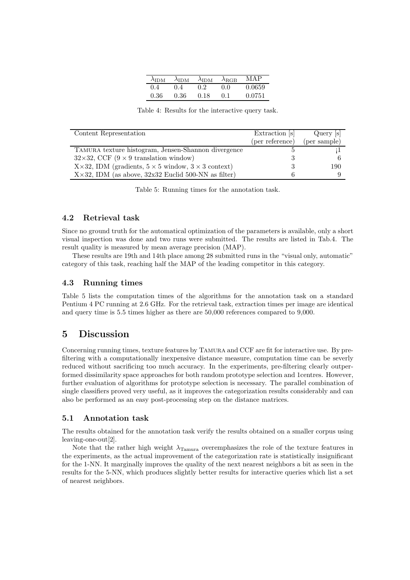| $\lambda_{\rm{IDM}}$ | $\lambda_{\rm{IDM}}$ | $\lambda_{\text{IDM}}$ | $\lambda_{\rm RGB}$ | MAP    |
|----------------------|----------------------|------------------------|---------------------|--------|
| 0.4                  | 0.4                  | 02                     | 0 O                 | 0.0659 |
| 0.36                 | 0.36                 | 0.18                   | 0.1                 | 0.0751 |

Table 4: Results for the interactive query task.

| Content Representation                                                     | Extraction s    | Query [s]    |
|----------------------------------------------------------------------------|-----------------|--------------|
|                                                                            | (per reference) | (per sample) |
| TAMURA texture histogram, Jensen-Shannon divergence                        |                 |              |
| $32\times32$ , CCF (9 $\times$ 9 translation window)                       |                 |              |
| $X \times 32$ , IDM (gradients, $5 \times 5$ window, $3 \times 3$ context) |                 | 190          |
| $X \times 32$ , IDM (as above, $32x32$ Euclid 500-NN as filter)            |                 |              |

Table 5: Running times for the annotation task.

#### 4.2 Retrieval task

Since no ground truth for the automatical optimization of the parameters is available, only a short visual inspection was done and two runs were submitted. The results are listed in Tab.4. The result quality is measured by mean average precision (MAP).

These results are 19th and 14th place among 28 submitted runs in the "visual only, automatic" category of this task, reaching half the MAP of the leading competitor in this category.

### 4.3 Running times

Table 5 lists the computation times of the algorithms for the annotation task on a standard Pentium 4 PC running at 2.6 GHz. For the retrieval task, extraction times per image are identical and query time is 5.5 times higher as there are 50,000 references compared to 9,000.

# 5 Discussion

Concerning running times, texture features by Tamura and CCF are fit for interactive use. By prefiltering with a computationally inexpensive distance measure, computation time can be severly reduced without sacrificing too much accuracy. In the experiments, pre-filtering clearly outperformed dissimilarity space approaches for both random prototype selection and 1centres. However, further evaluation of algorithms for prototype selection is necessary. The parallel combination of single classifiers proved very useful, as it improves the categorization results considerably and can also be performed as an easy post-processing step on the distance matrices.

#### 5.1 Annotation task

The results obtained for the annotation task verify the results obtained on a smaller corpus using leaving-one-out[2].

Note that the rather high weight  $\lambda_{\text{Tamura}}$  overemphasizes the role of the texture features in the experiments, as the actual improvement of the categorization rate is statistically insignificant for the 1-NN. It marginally improves the quality of the next nearest neighbors a bit as seen in the results for the 5-NN, which produces slightly better results for interactive queries which list a set of nearest neighbors.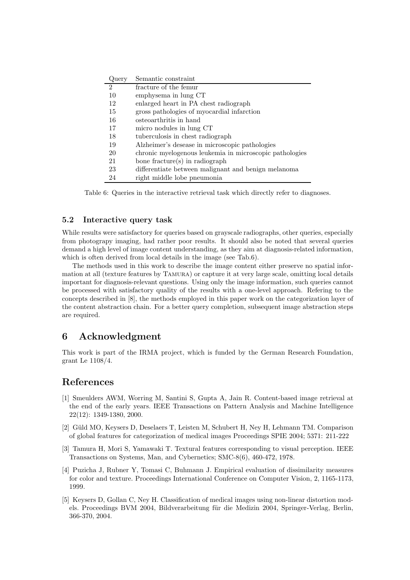| Query          | Semantic constraint                                     |
|----------------|---------------------------------------------------------|
| $\mathfrak{D}$ | fracture of the femur                                   |
| 10             | emphysema in lung CT                                    |
| 12             | enlarged heart in PA chest radiograph                   |
| 15             | gross pathologies of myocardial infarction              |
| 16             | osteoarthritis in hand                                  |
| 17             | micro nodules in lung CT                                |
| 18             | tuberculosis in chest radiograph                        |
| 19             | Alzheimer's desease in microscopic pathologies          |
| 20             | chronic myelogenous leukemia in microscopic pathologies |
| 21             | bone fracture(s) in radiograph                          |
| 23             | differentiate between malignant and benign melanoma     |
| 24             | right middle lobe pneumonia                             |

Table 6: Queries in the interactive retrieval task which directly refer to diagnoses.

#### 5.2 Interactive query task

While results were satisfactory for queries based on grayscale radiographs, other queries, especially from photograpy imaging, had rather poor results. It should also be noted that several queries demand a high level of image content understanding, as they aim at diagnosis-related information, which is often derived from local details in the image (see Tab.6).

The methods used in this work to describe the image content either preserve no spatial information at all (texture features by Tamura) or capture it at very large scale, omitting local details important for diagnosis-relevant questions. Using only the image information, such queries cannot be processed with satisfactory quality of the results with a one-level approach. Refering to the concepts described in [8], the methods employed in this paper work on the categorization layer of the content abstraction chain. For a better query completion, subsequent image abstraction steps are required.

# 6 Acknowledgment

This work is part of the IRMA project, which is funded by the German Research Foundation, grant Le 1108/4.

### References

- [1] Smeulders AWM, Worring M, Santini S, Gupta A, Jain R. Content-based image retrieval at the end of the early years. IEEE Transactions on Pattern Analysis and Machine Intelligence 22(12): 1349-1380, 2000.
- [2] Güld MO, Keysers D, Deselaers T, Leisten M, Schubert H, Ney H, Lehmann TM, Comparison of global features for categorization of medical images Proceedings SPIE 2004; 5371: 211-222
- [3] Tamura H, Mori S, Yamawaki T. Textural features corresponding to visual perception. IEEE Transactions on Systems, Man, and Cybernetics; SMC-8(6), 460-472, 1978.
- [4] Puzicha J, Rubner Y, Tomasi C, Buhmann J. Empirical evaluation of dissimilarity measures for color and texture. Proceedings International Conference on Computer Vision, 2, 1165-1173, 1999.
- [5] Keysers D, Gollan C, Ney H. Classification of medical images using non-linear distortion models. Proceedings BVM 2004, Bildverarbeitung für die Medizin 2004, Springer-Verlag, Berlin, 366-370, 2004.